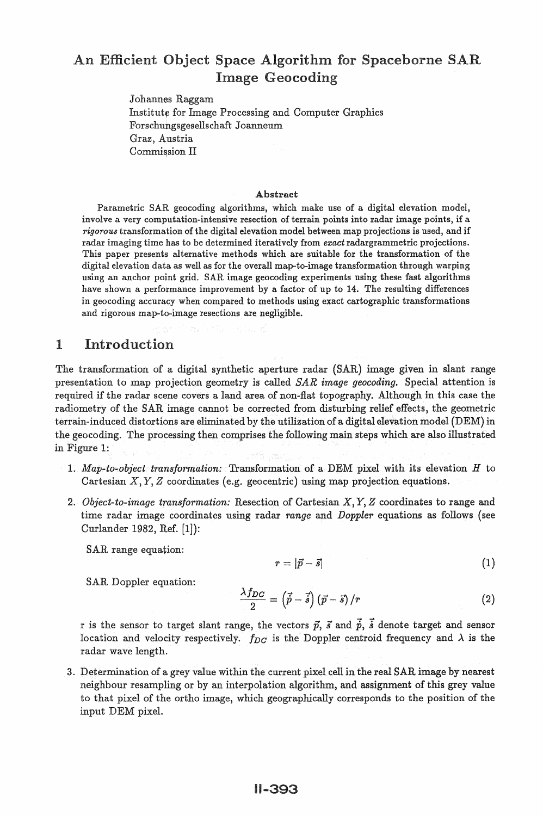# An Efficient Object Space Algorithm for Spaceborne SAR **Image Geocoding**

Johannes Raggam Institute for Image Processing and Computer Graphics Forschungsgesellschaft Joanneum Graz, Austria Commission II

#### Abstract

Parametric SAR geocoding algorithms, which make use of a digital elevation model, involve a very computation-intensive resection of terrain points into radar image points, if a *rigorous* transformation of the digital elevation model between map projections is used, and if radar imaging time has to be determined iteratively from *ezact* radargrammetric projections. This paper presents alternative methods which are suitable for the transformation of the digital elevation data as well as for the overall map-to-image transformation through warping using an anchor point grid. SAR image geocoding experiments using these fast algorithms have shown a performance improvement by a factor of up to 14. The resulting differences in geocoding accuracy when compared to methods using exact cartographic transformations and rigorous map-to-image resections are negligible.

# 1 Introduction

The transformation of a digital synthetic aperture radar (SAR) image given in slant range presentation to map projection geometry is called *SAR image geocoding.* Special attention is required if the radar scene covers a land area of non-flat topography. Although in this case the radiometry of the SAR image cannot be corrected from disturbing relief effects, the geometric terrain-induced distortions are eliminated by the utilization of a digital elevation model (DEM) in the geocoding. The processing then comprises the following main steps which are also illustrated in Figure 1:

- 1. *Map-to-object transformation:* Transformation of a DEM pixel with its elevation H to Cartesian  $X, Y, Z$  coordinates (e.g. geocentric) using map projection equations.
- 2. *Object-to-image transformation:* Resection of Cartesian X, Y, Z coordinates to range and time radar image coordinates using radar *range* and *Doppler* equations as follows (see Curlander 1982, Ref. [1]):

SAR range equation:

$$
r = |\vec{p} - \vec{s}| \tag{1}
$$

SAR Doppler equation:

$$
\frac{\lambda f_{DC}}{2} = \left(\vec{p} - \vec{s}\right)\left(\vec{p} - \vec{s}\right)/r \tag{2}
$$

r is the sensor to target slant range, the vectors  $\vec{p}$ ,  $\vec{s}$  and  $\vec{p}$ ,  $\vec{s}$  denote target and sensor location and velocity respectively.  $f_{DC}$  is the Doppler centroid frequency and  $\lambda$  is the radar wave length.

3. Determination of a grey value within the current pixel cell in the real SAR image by nearest neighbour resampling or by an interpolation algorithm, and assignment of this grey value to that pixel of the ortho image, which geographically corresponds to the position of the input DEM pixel.

## **II-393**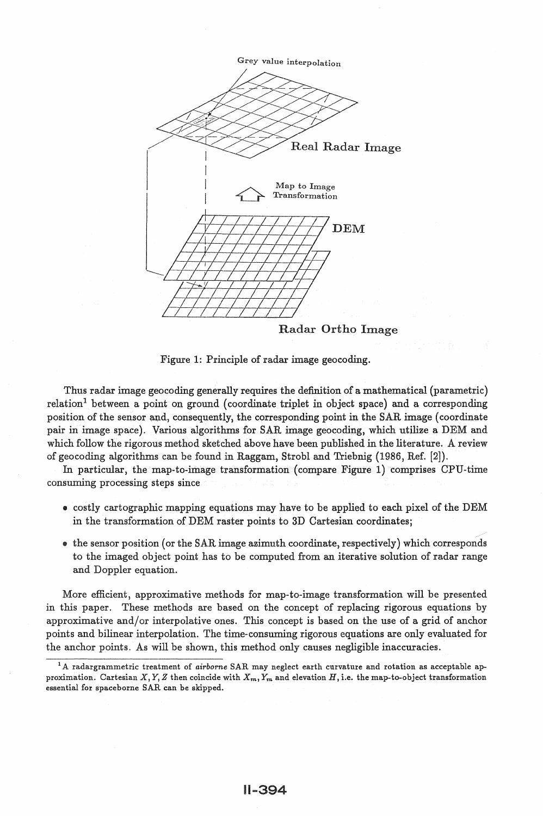

Figure 1: Principle of radar image geocoding.

Thus radar image geocoding generally requires the definition of a mathematical (parametric) relation<sup>1</sup> between a point on ground (coordinate triplet in object space) and a corresponding position of the sensor and, consequently, the corresponding point in the SAR image (coordinate pair in image space). Various algorithms for SAR image geocoding, which utilize a DEM and which follow the rigorous method sketched above have been published in the literature. A review of geocoding algorithms can be found in Raggam, Strobl and Triebnig (1986, Ref. [2]).

In particular, the map-to-image transformation (compare Figure 1) comprises CPU-time consuming processing steps since

- costly cartographic mapping equations may have to be applied to each pixel of the DEM in the transformation of DEM raster points to 3D Cartesian coordinates;
- the sensor position (or the SAR image azimuth coordinate, respectively) which corresponds to the imaged object point has to be computed from an iterative solution of radar range and Doppler equation.

More efficient, approximative methods for map-to-image transformation will be presented in this paper. These methods are based on the concept of replacing rigorous equations by approximative and/or interpolative ones. This concept is based on the use of a grid of anchor points and bilinear interpolation. The time-consuming rigorous equations are only evaluated for the anchor points. As will be shown, this method only causes negligible inaccuracies.

<sup>&</sup>lt;sup>1</sup>A radargrammetric treatment of *airborne* SAR may neglect earth curvature and rotation as acceptable approximation. Cartesian *X, Y, Z* then coincide with  $X_m, Y_m$  and elevation *H*, i.e. the map-to-object transformation essential for spaceborne SAR can be skipped.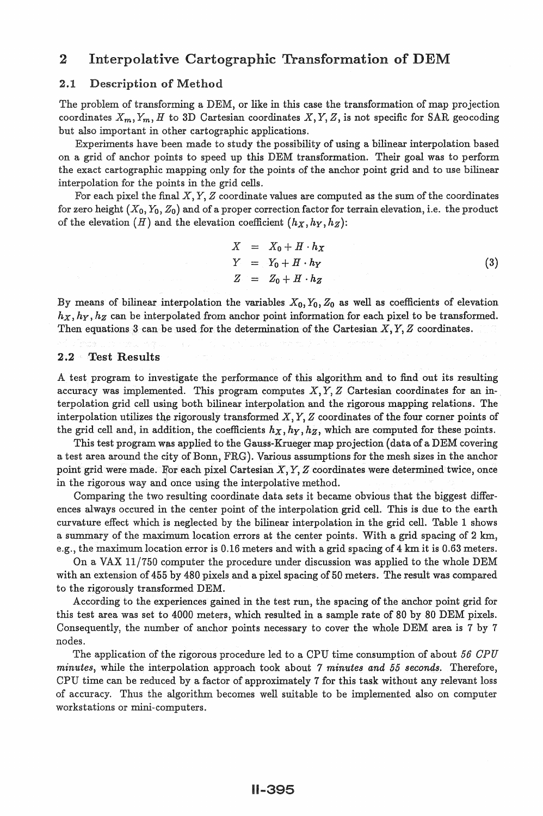# 2 Interpolative Cartographic Transformation of DEM

### 2.1 Description of Method

The problem of transforming aDEM, or like in this case the transformation of map projection coordinates  $X_m, Y_m, H$  to 3D Cartesian coordinates  $X, Y, Z$ , is not specific for SAR geocoding but also important in other cartographic applications.

Experiments have been made to study the possibility of using a bilinear interpolation based on a grid of anchor points to speed up this DEM transformation. Their goal was to perform the exact cartographic mapping only for the points of the anchor point grid and to use bilinear interpolation for the points in the grid cells.

For each pixel the final  $X, Y, Z$  coordinate values are computed as the sum of the coordinates for zero height  $(X_0, Y_0, Z_0)$  and of a proper correction factor for terrain elevation, i.e. the product of the elevation  $(H)$  and the elevation coefficient  $(h_X,h_Y,h_Z)$ :

$$
X = X_0 + H \cdot h_X
$$
  
\n
$$
Y = Y_0 + H \cdot h_Y
$$
  
\n
$$
Z = Z_0 + H \cdot h_Z
$$
\n(3)

By means of bilinear interpolation the variables  $X_0, Y_0, Z_0$  as well as coefficients of elevation  $h_X, h_Y, h_Z$  can be interpolated from anchor point information for each pixel to be transformed. Then equations 3 can be used for the determination of the Cartesian  $X, Y, Z$  coordinates.

#### 2.2 Test Results

A test program to investigate the performance of this algorithm and to find out its resulting accuracy was implemented. This program computes  $X, Y, Z$  Cartesian coordinates for an interpolation grid cell using both bilinear interpolation and the rigorous mapping relations. The interpolation utilizes the rigorously transformed  $X, Y, Z$  coordinates of the four corner points of the grid cell and, in addition, the coefficients  $h_X, h_Y, h_Z$ , which are computed for these points.

This test program was applied to the Gauss-Krueger map projection (data of a DEM covering a test area around the city of Bonn, FRG). Various assumptions for the mesh sizes in the anchor point grid were made. For each pixel Cartesian  $X, Y, Z$  coordinates were determined twice, once in the rigorous way and once using the interpolative method.

Comparing the two resulting coordinate data sets it became obvious that the biggest differences always occured in the center point of the interpolation grid cell. This is due to the earth curvature effect which is neglected by the bilinear interpolation in the grid cell. Table 1 shows a summary of the maximum location errors at the center points. With a grid spacing of 2 km, e.g., the maximum location error is 0.16 meters and with a grid spacing of 4 km it is 0.63 meters.

On a VAX  $11/750$  computer the procedure under discussion was applied to the whole DEM with an extension of 455 by 480 pixels and a pixel spacing of 50 meters. The result was compared to the rigorously transformed DEM.

According to the experiences gained in the test run, the spacing of the anchor point grid for this test area was set to 4000 meters, which resulted in a sample rate of 80 by 80 DEM pixels. Consequently, the number of anchor points necessary to cover the whole DEM area is 7 by 7 nodes.

The application of the rigorous procedure led to a CPU time consumption of about *56 CPU minutes,* while the interpolation approach took about 7 *minutes and 55 seconds.* Therefore, CPU time can be reduced by a factor of approximately 7 for this task without any relevant loss of accuracy. Thus the algorithm becomes well suitable to be implemented also on computer workstations or mini-computers.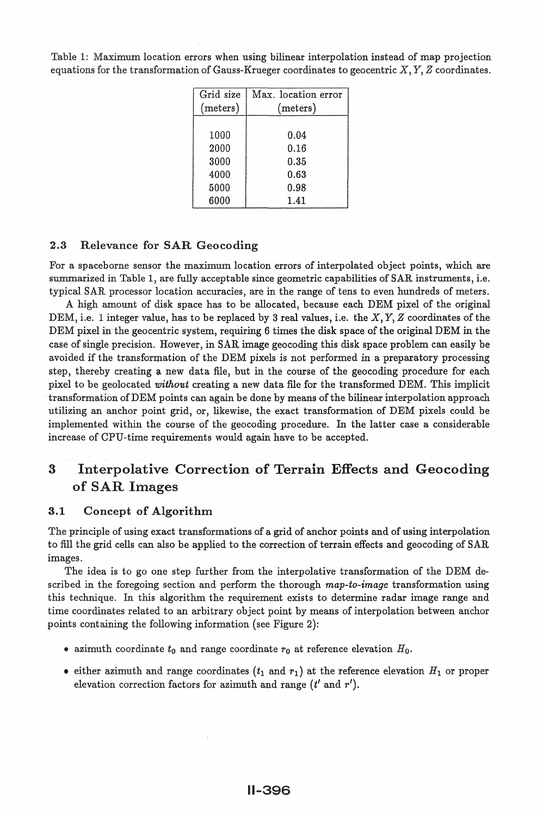Table 1: Maximum location errors when using bilinear interpolation instead of map projection equations for the transformation of Gauss-Krueger coordinates to geocentric  $X, Y, Z$  coordinates.

| Grid size | Max. location error |  |  |
|-----------|---------------------|--|--|
| (meters)  | (meters)            |  |  |
|           |                     |  |  |
| 1000      | 0.04                |  |  |
| 2000      | 0.16                |  |  |
| 3000      | 0.35                |  |  |
| 4000      | 0.63                |  |  |
| 5000      | 0.98                |  |  |
| 6000      | 1.41                |  |  |

## 2.3 Relevance for SAR Geocoding

For a spaceborne sensor the maximum location errors of interpolated object points, which are summarized in Table 1, are fully acceptable since geometric capabilities of SAR instruments, i.e. typical SAR processor location accuracies, are in the range of tens to even hundreds of meters. A high amount of disk space has to be allocated, because each DEM pixel of the original DEM, i.e. 1 integer value, has to be replaced by 3 real values, i.e. the  $X, Y, Z$  coordinates of the DEM pixel in the geocentric system, requiring 6 times the disk space of the original DEM in the case of single precision. However, in SAR image geocoding this disk space problem can easily be avoided if the transformation of the DEM pixels is not performed in a preparatory processing step, thereby creating a new data file, but in the course of the geocoding procedure for each pixel to be geolocated *without* creating a new data file for the transformed DEM. This implicit transformation of DEM points can again be done by means of the bilinear interpolation approach utilizing an anchor point grid, or, likewise, the exact transformation of DEM pixels could be implemented within the course of the geocoding procedure. In the latter case a considerable increase of CPU-time requirements would again have to be accepted.

# 3 Interpolative Correction of Terrain Effects and Geocoding of SAR Images

## 3.1 Concept of Algorithm

The principle of using exact transformations of a grid of anchor points and of using interpolation to fill the grid cells can also be applied to the correction of terrain effects and geocoding of SAR images.

The idea is to go one step further from the interpolative transformation of the DEM described in the foregoing section and perform the thorough *map-to-image* transformation using this technique. In this algorithm the requirement exists to determine radar image range and time coordinates related to an arbitrary object point by means of interpolation between anchor points containing the following information (see Figure 2):

- azimuth coordinate  $t_0$  and range coordinate  $r_0$  at reference elevation  $H_0$ .
- either azimuth and range coordinates  $(t_1$  and  $r_1)$  at the reference elevation  $H_1$  or proper elevation correction factors for azimuth and range  $(t'$  and  $r')$ .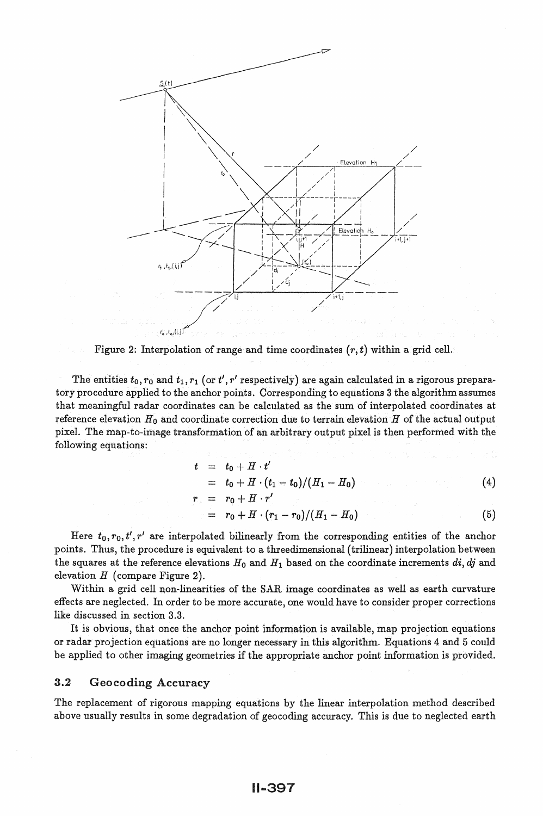

Figure 2: Interpolation of range and time coordinates  $(r, t)$  within a grid cell.

The entities  $t_0, r_0$  and  $t_1, r_1$  (or  $t', r'$  respectively) are again calculated in a rigorous preparatory procedure applied to the anchor points. Corresponding to equations 3 the algorithm assumes that meaningful radar coordinates can be calculated as the sum of interpolated coordinates at reference elevation  $H_0$  and coordinate correction due to terrain elevation  $H$  of the actual output pixel. The map-to-image transformation of an arbitrary output pixel is then performed with the following equations:

$$
t = t_0 + H \cdot t'
$$

$$
= t_0 + H \cdot (t_1 - t_0)/(H_1 - H_0) \tag{4}
$$

$$
r_{\circ} = r_0 + H \cdot r'
$$

$$
= r_0 + H \cdot (r_1 - r_0)/(H_1 - H_0) \tag{5}
$$

Here  $t_0, r_0, t', r'$  are interpolated bilinearly from the corresponding entities of the anchor points. Thus, the procedure is equivalent to a threedimensional (trilinear) interpolation between the squares at the reference elevations  $H_0$  and  $H_1$  based on the coordinate increments  $di, dj$  and elevation  $H$  (compare Figure 2).

Within a grid cell non-linearities of the SAR image coordinates as well as earth curvature effects are neglected. In order to be more accurate, one would have to consider proper corrections like discussed in section 3.3.

It is obvious, that once the anchor point information is available, map projection equations or radar projection equations are no longer necessary in this algorithm. Equations 4 and 5 could be applied to other imaging geometries if the appropriate anchor point information is provided.

### 3.2 Geocoding Accuracy

The replacement of rigorous mapping equations by the linear interpolation method described above usually results in some degradation of geocoding accuracy. This is due to neglected earth

## 11-397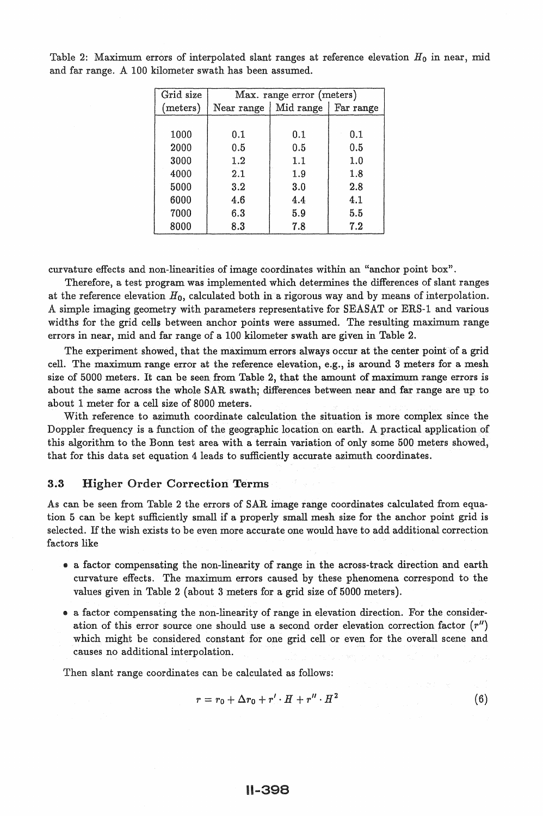| Grid size | Max. range error (meters) |           |           |  |
|-----------|---------------------------|-----------|-----------|--|
| (meters)  | Near range                | Mid range | Far range |  |
|           |                           |           |           |  |
| 1000      | 0.1                       | 0.1       | 0.1       |  |
| 2000      | 0.5                       | 0.5       | 0.5       |  |
| 3000      | 1.2                       | 1.1       | 1.0       |  |
| 4000      | 2.1                       | 1.9       | 1.8       |  |
| 5000      | 3.2                       | 3.0       | 2.8       |  |
| 6000      | 4.6                       | 4.4       | 4.1       |  |
| 7000      | 6.3                       | 5.9       | 5.5       |  |
| 8000      | 8.3                       | 7.8       | 7.2       |  |

Table 2: Maximum errors of interpolated slant ranges at reference elevation *Ho* in near, mid and far range. A 100 kilometer swath has been assumed.

curvature effects and non-linearities of image coordinates within an "anchor point box".

Therefore, a test program was implemented which determines the differences of slant ranges at the reference elevation  $H_0$ , calculated both in a rigorous way and by means of interpolation. A simple imaging geometry with parameters representative for SEASAT or ERS-1 and various widths for the grid cella between anchor points were assumed. The resulting maximum range errors in near, mid and far range of a 100 kilometer swath are given in Table 2.

The experiment showed, that the maximum errors always occur at the center point of a grid cell. The maximum range error at the reference elevation, e.g., is around 3 meters for a mesh size of 5000 meters. It can be seen from Table 2, that the amount of maximum range errors is about the same across the whole SAR swath; differences between near and far range are up to about 1 meter for a cell size of 8000 meters.

With reference to azimuth coordinate calculation the situation is more complex since the Doppler frequency is a function of the geographic location on earth. A practical application of this algorithm to the Bonn test area with a terrain variation of only some 500 meters showed, that for this data set equation 4 leads to sufficiently accurate azimuth coordinates.

### 3.3 Higher Order Correction Terms

As can be seen from Table 2 the errors of SAR image range coordinates calculated from equation 5 can be kept sufficiently small if a properly small mesh size for the anchor point grid is selected. If the wish exists to be even more accurate one would have to add additional correction factors like

- a factor compensating the non-linearity of range in the across-track direction and earth curvature effects. The maximum errors caused by these phenomena correspond to the values given in Table 2 (about 3 meters for a grid size of 5000 meters).
- a factor compensating the non-linearity of range in elevation direction. For the consideration of this error source one should use a second order elevation correction factor  $(r'')$ which might be considered constant for one grid cell or even for the overall scene and causes no additional interpolation.

Then slant range coordinates can be calculated as follows:

$$
r = r_0 + \Delta r_0 + r' \cdot H + r'' \cdot H^2 \tag{6}
$$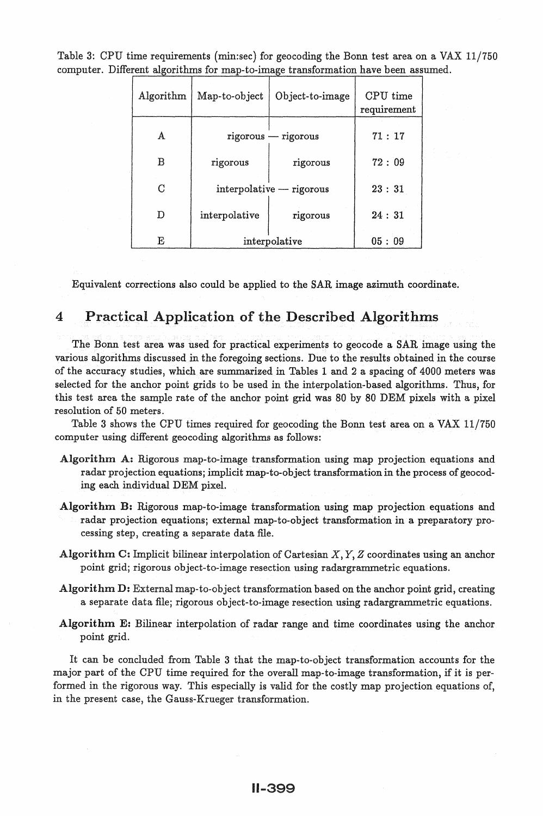| Algorithm | Map-to-object            | Object-to-image       | CPU time<br>requirement |
|-----------|--------------------------|-----------------------|-------------------------|
| A         |                          | $rigorous - rigorous$ | 71:17                   |
| B         | rigorous                 | rigorous              | 72:09                   |
| C         | interpolative — rigorous |                       | 23:31                   |
| D         | interpolative            | rigorous              | 24:31                   |
| E         | interpolative            |                       | 05:09                   |

Table 3: CPU time requirements (min:sec) for geocoding the Bonn test area on a VAX 11/750 computer. Different algorithms for map-to-image transformation have been assumed.

Equivalent corrections also could be applied to the SAR image azimuth coordinate.

# 4 Practical Application of the Described Algorithms

The Bonn test area was used for practical experiments to geocode a SAR image using the various algorithms discussed in the foregoing sections. Due to the results obtained in the course of the accuracy studies, which are summarized in Tables 1 and 2 a spacing of 4000 meters was selected for the anchor point grids to be used in the interpolation-based algorithms. Thus, for this test area the sample rate of the anchor point grid was 80 by 80 DEM pixels with a pixel resolution of 50 meters.

Table 3 shows the CPU times required for geocoding the Bonn test area on a VAX 11/750 computer using different geocoding algorithms as follows:

- Algorithm A: Rigorous map-to-image transformation using map projection equations and radar projection equations; implicit map-to-object transformation in the process of geocoding each individual DEM pixel.
- Algorithm B: Rigorous map-to-image transformation using map projection equations and radar projection equations; external map-to-object transformation in a preparatory processing step, creating a separate data file.
- Algorithm C: Implicit bilinear interpolation of Cartesian  $X, Y, Z$  coordinates using an anchor point grid; rigorous object-to-image resection using radargrammetric equations.
- Algorithm D: External map-to-object transformation based on the anchor point grid, creating a separate data file; rigorous object-to-image resection using radargrammetric equations.
- Algorithm E: Bilinear interpolation of radar range and time coordinates using the anchor point grid.

It can be concluded from Table 3 that the map-to-object transformation accounts for the major part of the CPU time required for the overall map-to-image transformation, if it is performed in the rigorous way. This especially is valid for the costly map projection equations of, in the present case, the Gauss-Krueger transformation.